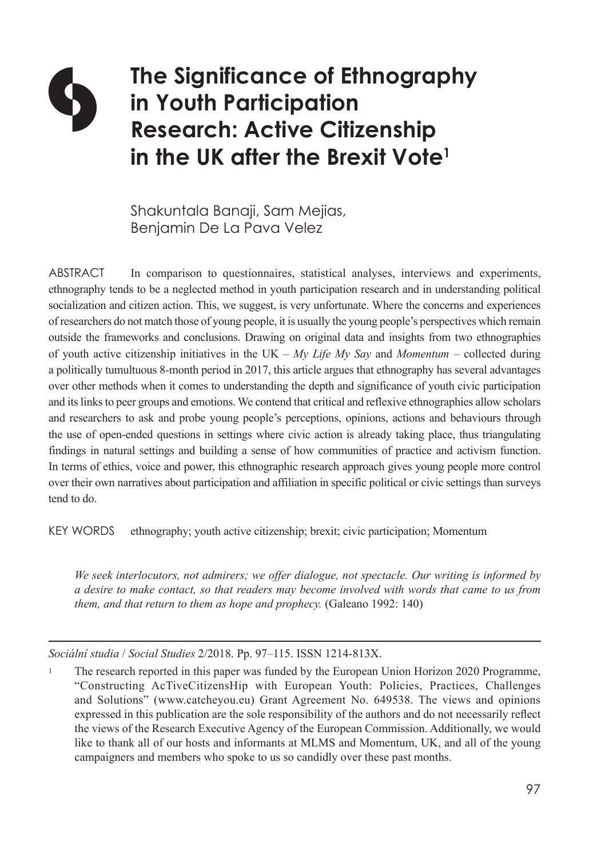# **The Significance of Ethnography in Youth Participation Research: Active Citizenship in the UK after the Brexit Vote1**

Shakuntala Banaji, Sam Mejias, Benjamin De La Pava Velez

ABSTRACT In comparison to questionnaires, statistical analyses, interviews and experiments, ethnography tends to be a neglected method in youth participation research and in understanding political socialization and citizen action. This, we suggest, is very unfortunate. Where the concerns and experiences of researchers do not match those of young people, it is usually the young people's perspectives which remain outside the frameworks and conclusions. Drawing on original data and insights from two ethnographies of youth active citizenship initiatives in the UK – *My Life My Say* and *Momentum* – collected during a politically tumultuous 8-month period in 2017, this article argues that ethnography has several advantages over other methods when it comes to understanding the depth and significance of youth civic participation and its links to peer groups and emotions. We contend that critical and reflexive ethnographies allow scholars and researchers to ask and probe young people's perceptions, opinions, actions and behaviours through the use of open-ended questions in settings where civic action is already taking place, thus triangulating findings in natural settings and building a sense of how communities of practice and activism function. In terms of ethics, voice and power, this ethnographic research approach gives young people more control over their own narratives about participation and affiliation in specific political or civic settings than surveys tend to do.

KEY WORDS ethnography; youth active citizenship; brexit; civic participation; Momentum

*We seek interlocutors, not admirers; we offer dialogue, not spectacle. Our writing is informed by a desire to make contact, so that readers may become involved with words that came to us from them, and that return to them as hope and prophecy.* (Galeano 1992: 140)

*Sociální studia* / *Social Studies* 2/2018. Pp. 97–115. ISSN 1214-813X.

<sup>1</sup> The research reported in this paper was funded by the European Union Horizon 2020 Programme, "Constructing AcTiveCitizensHip with European Youth: Policies, Practices, Challenges and Solutions" (www.catcheyou.eu) Grant Agreement No. 649538. The views and opinions expressed in this publication are the sole responsibility of the authors and do not necessarily reflect the views of the Research Executive Agency of the European Commission. Additionally, we would like to thank all of our hosts and informants at MLMS and Momentum, UK, and all of the young campaigners and members who spoke to us so candidly over these past months.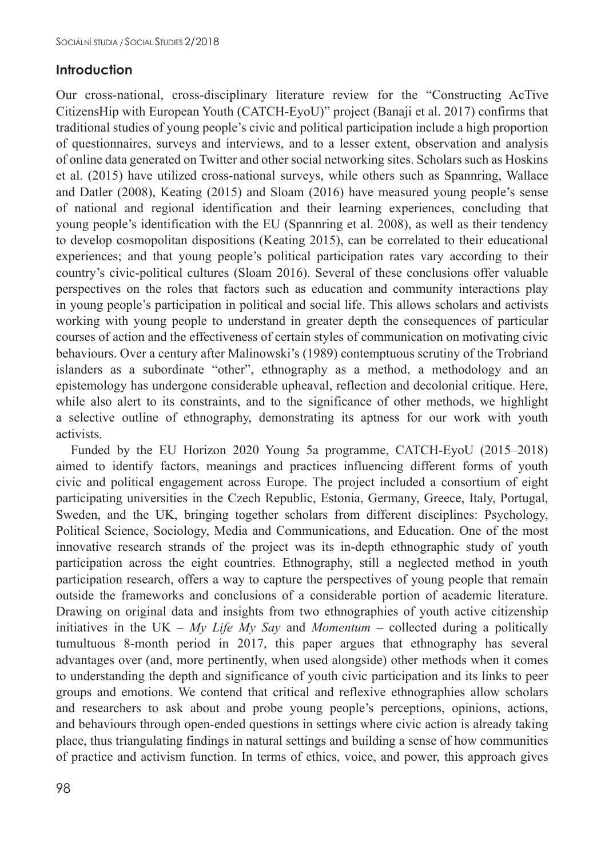# **Introduction**

Our cross-national, cross-disciplinary literature review for the "Constructing AcTive CitizensHip with European Youth (CATCH-EyoU)" project (Banaji et al. 2017) confirms that traditional studies of young people's civic and political participation include a high proportion of questionnaires, surveys and interviews, and to a lesser extent, observation and analysis of online data generated on Twitter and other social networking sites. Scholars such as Hoskins et al. (2015) have utilized cross-national surveys, while others such as Spannring, Wallace and Datler (2008), Keating (2015) and Sloam (2016) have measured young people's sense of national and regional identification and their learning experiences, concluding that young people's identification with the EU (Spannring et al. 2008), as well as their tendency to develop cosmopolitan dispositions (Keating 2015), can be correlated to their educational experiences; and that young people's political participation rates vary according to their country's civic-political cultures (Sloam 2016). Several of these conclusions offer valuable perspectives on the roles that factors such as education and community interactions play in young people's participation in political and social life. This allows scholars and activists working with young people to understand in greater depth the consequences of particular courses of action and the effectiveness of certain styles of communication on motivating civic behaviours. Over a century after Malinowski's (1989) contemptuous scrutiny of the Trobriand islanders as a subordinate "other", ethnography as a method, a methodology and an epistemology has undergone considerable upheaval, reflection and decolonial critique. Here, while also alert to its constraints, and to the significance of other methods, we highlight a selective outline of ethnography, demonstrating its aptness for our work with youth activists.

Funded by the EU Horizon 2020 Young 5a programme, CATCH-EyoU (2015–2018) aimed to identify factors, meanings and practices influencing different forms of youth civic and political engagement across Europe. The project included a consortium of eight participating universities in the Czech Republic, Estonia, Germany, Greece, Italy, Portugal, Sweden, and the UK, bringing together scholars from different disciplines: Psychology, Political Science, Sociology, Media and Communications, and Education. One of the most innovative research strands of the project was its in-depth ethnographic study of youth participation across the eight countries. Ethnography, still a neglected method in youth participation research, offers a way to capture the perspectives of young people that remain outside the frameworks and conclusions of a considerable portion of academic literature. Drawing on original data and insights from two ethnographies of youth active citizenship initiatives in the UK – *My Life My Say* and *Momentum* – collected during a politically tumultuous 8-month period in 2017, this paper argues that ethnography has several advantages over (and, more pertinently, when used alongside) other methods when it comes to understanding the depth and significance of youth civic participation and its links to peer groups and emotions. We contend that critical and reflexive ethnographies allow scholars and researchers to ask about and probe young people's perceptions, opinions, actions, and behaviours through open-ended questions in settings where civic action is already taking place, thus triangulating findings in natural settings and building a sense of how communities of practice and activism function. In terms of ethics, voice, and power, this approach gives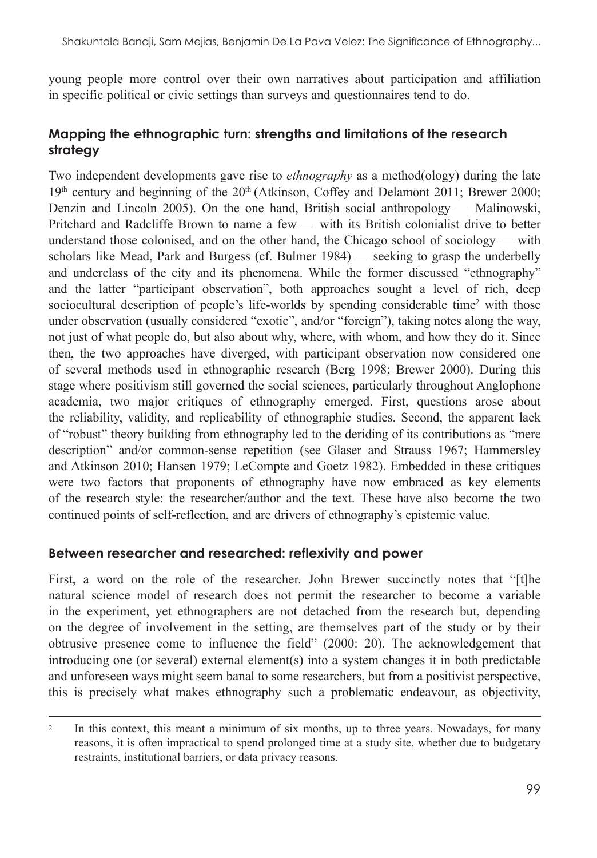young people more control over their own narratives about participation and affiliation in specific political or civic settings than surveys and questionnaires tend to do.

# **Mapping the ethnographic turn: strengths and limitations of the research strategy**

Two independent developments gave rise to *ethnography* as a method(ology) during the late  $19<sup>th</sup>$  century and beginning of the  $20<sup>th</sup>$  (Atkinson, Coffey and Delamont 2011; Brewer 2000; Denzin and Lincoln 2005). On the one hand, British social anthropology — Malinowski, Pritchard and Radcliffe Brown to name a few — with its British colonialist drive to better understand those colonised, and on the other hand, the Chicago school of sociology — with scholars like Mead, Park and Burgess (cf. Bulmer 1984) — seeking to grasp the underbelly and underclass of the city and its phenomena. While the former discussed "ethnography" and the latter "participant observation", both approaches sought a level of rich, deep sociocultural description of people's life-worlds by spending considerable time<sup>2</sup> with those under observation (usually considered "exotic", and/or "foreign"), taking notes along the way, not just of what people do, but also about why, where, with whom, and how they do it. Since then, the two approaches have diverged, with participant observation now considered one of several methods used in ethnographic research (Berg 1998; Brewer 2000). During this stage where positivism still governed the social sciences, particularly throughout Anglophone academia, two major critiques of ethnography emerged. First, questions arose about the reliability, validity, and replicability of ethnographic studies. Second, the apparent lack of "robust" theory building from ethnography led to the deriding of its contributions as "mere description" and/or common-sense repetition (see Glaser and Strauss 1967; Hammersley and Atkinson 2010; Hansen 1979; LeCompte and Goetz 1982). Embedded in these critiques were two factors that proponents of ethnography have now embraced as key elements of the research style: the researcher/author and the text. These have also become the two continued points of self-reflection, and are drivers of ethnography's epistemic value.

# **Between researcher and researched: reflexivity and power**

First, a word on the role of the researcher. John Brewer succinctly notes that "[t]he natural science model of research does not permit the researcher to become a variable in the experiment, yet ethnographers are not detached from the research but, depending on the degree of involvement in the setting, are themselves part of the study or by their obtrusive presence come to influence the field" (2000: 20). The acknowledgement that introducing one (or several) external element(s) into a system changes it in both predictable and unforeseen ways might seem banal to some researchers, but from a positivist perspective, this is precisely what makes ethnography such a problematic endeavour, as objectivity,

<sup>2</sup> In this context, this meant a minimum of six months, up to three years. Nowadays, for many reasons, it is often impractical to spend prolonged time at a study site, whether due to budgetary restraints, institutional barriers, or data privacy reasons.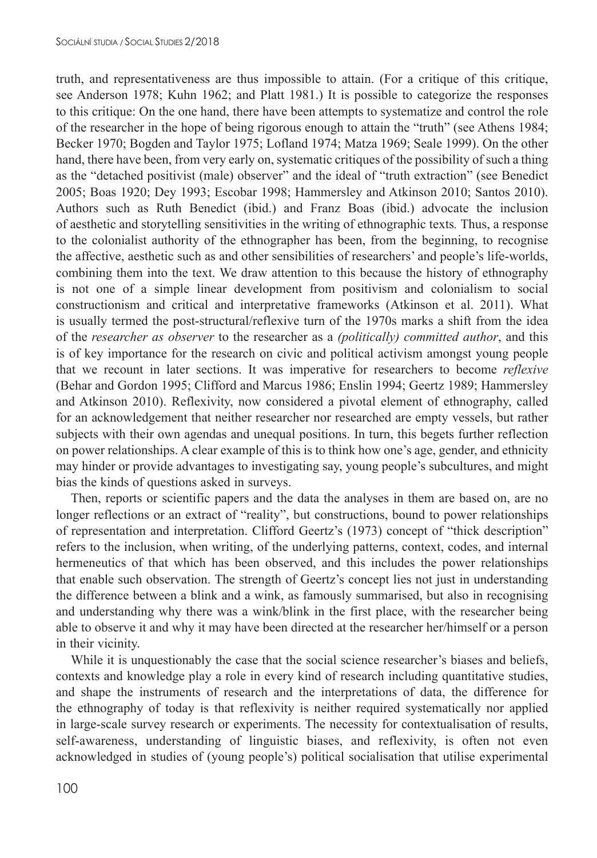truth, and representativeness are thus impossible to attain. (For a critique of this critique, see Anderson 1978; Kuhn 1962; and Platt 1981.) It is possible to categorize the responses to this critique: On the one hand, there have been attempts to systematize and control the role of the researcher in the hope of being rigorous enough to attain the "truth" (see Athens 1984; Becker 1970; Bogden and Taylor 1975; Lofland 1974; Matza 1969; Seale 1999). On the other hand, there have been, from very early on, systematic critiques of the possibility of such a thing as the "detached positivist (male) observer" and the ideal of "truth extraction" (see Benedict 2005; Boas 1920; Dey 1993; Escobar 1998; Hammersley and Atkinson 2010; Santos 2010). Authors such as Ruth Benedict (ibid.) and Franz Boas (ibid.) advocate the inclusion of aesthetic and storytelling sensitivities in the writing of ethnographic texts*.* Thus, a response to the colonialist authority of the ethnographer has been, from the beginning, to recognise the affective, aesthetic such as and other sensibilities of researchers' and people's life-worlds, combining them into the text. We draw attention to this because the history of ethnography is not one of a simple linear development from positivism and colonialism to social constructionism and critical and interpretative frameworks (Atkinson et al. 2011). What is usually termed the post-structural/reflexive turn of the 1970s marks a shift from the idea of the *researcher as observer* to the researcher as a *(politically) committed author*, and this is of key importance for the research on civic and political activism amongst young people that we recount in later sections. It was imperative for researchers to become *reflexive*  (Behar and Gordon 1995; Clifford and Marcus 1986; Enslin 1994; Geertz 1989; Hammersley and Atkinson 2010). Reflexivity, now considered a pivotal element of ethnography, called for an acknowledgement that neither researcher nor researched are empty vessels, but rather subjects with their own agendas and unequal positions. In turn, this begets further reflection on power relationships. A clear example of this is to think how one's age, gender, and ethnicity may hinder or provide advantages to investigating say, young people's subcultures, and might bias the kinds of questions asked in surveys.

Then, reports or scientific papers and the data the analyses in them are based on, are no longer reflections or an extract of "reality", but constructions, bound to power relationships of representation and interpretation. Clifford Geertz's (1973) concept of "thick description" refers to the inclusion, when writing, of the underlying patterns, context, codes, and internal hermeneutics of that which has been observed, and this includes the power relationships that enable such observation. The strength of Geertz's concept lies not just in understanding the difference between a blink and a wink, as famously summarised, but also in recognising and understanding why there was a wink/blink in the first place, with the researcher being able to observe it and why it may have been directed at the researcher her/himself or a person in their vicinity.

While it is unquestionably the case that the social science researcher's biases and beliefs, contexts and knowledge play a role in every kind of research including quantitative studies, and shape the instruments of research and the interpretations of data, the difference for the ethnography of today is that reflexivity is neither required systematically nor applied in large-scale survey research or experiments. The necessity for contextualisation of results, self-awareness, understanding of linguistic biases, and reflexivity, is often not even acknowledged in studies of (young people's) political socialisation that utilise experimental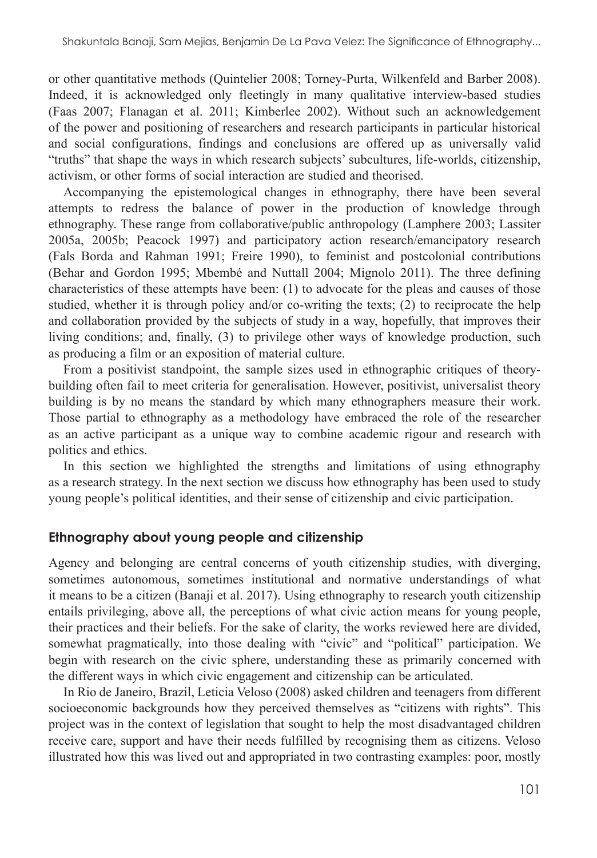or other quantitative methods (Quintelier 2008; Torney-Purta, Wilkenfeld and Barber 2008). Indeed, it is acknowledged only fleetingly in many qualitative interview-based studies (Faas 2007; Flanagan et al. 2011; Kimberlee 2002). Without such an acknowledgement of the power and positioning of researchers and research participants in particular historical and social configurations, findings and conclusions are offered up as universally valid "truths" that shape the ways in which research subjects' subcultures, life-worlds, citizenship, activism, or other forms of social interaction are studied and theorised.

Accompanying the epistemological changes in ethnography, there have been several attempts to redress the balance of power in the production of knowledge through ethnography. These range from collaborative/public anthropology (Lamphere 2003; Lassiter 2005a, 2005b; Peacock 1997) and participatory action research/emancipatory research (Fals Borda and Rahman 1991; Freire 1990), to feminist and postcolonial contributions (Behar and Gordon 1995; Mbembé and Nuttall 2004; Mignolo 2011). The three defining characteristics of these attempts have been: (1) to advocate for the pleas and causes of those studied, whether it is through policy and/or co-writing the texts; (2) to reciprocate the help and collaboration provided by the subjects of study in a way, hopefully, that improves their living conditions; and, finally, (3) to privilege other ways of knowledge production, such as producing a film or an exposition of material culture.

From a positivist standpoint, the sample sizes used in ethnographic critiques of theorybuilding often fail to meet criteria for generalisation. However, positivist, universalist theory building is by no means the standard by which many ethnographers measure their work. Those partial to ethnography as a methodology have embraced the role of the researcher as an active participant as a unique way to combine academic rigour and research with politics and ethics.

In this section we highlighted the strengths and limitations of using ethnography as a research strategy. In the next section we discuss how ethnography has been used to study young people's political identities, and their sense of citizenship and civic participation.

#### **Ethnography about young people and citizenship**

Agency and belonging are central concerns of youth citizenship studies, with diverging, sometimes autonomous, sometimes institutional and normative understandings of what it means to be a citizen (Banaji et al. 2017). Using ethnography to research youth citizenship entails privileging, above all, the perceptions of what civic action means for young people, their practices and their beliefs. For the sake of clarity, the works reviewed here are divided, somewhat pragmatically, into those dealing with "civic" and "political" participation. We begin with research on the civic sphere, understanding these as primarily concerned with the different ways in which civic engagement and citizenship can be articulated.

In Rio de Janeiro, Brazil, Leticia Veloso (2008) asked children and teenagers from different socioeconomic backgrounds how they perceived themselves as "citizens with rights". This project was in the context of legislation that sought to help the most disadvantaged children receive care, support and have their needs fulfilled by recognising them as citizens. Veloso illustrated how this was lived out and appropriated in two contrasting examples: poor, mostly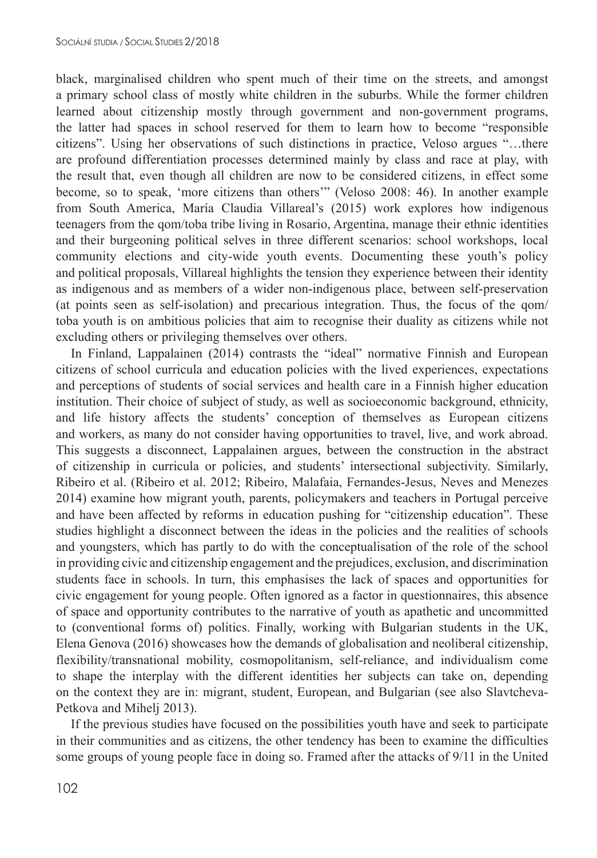black, marginalised children who spent much of their time on the streets, and amongst a primary school class of mostly white children in the suburbs. While the former children learned about citizenship mostly through government and non-government programs, the latter had spaces in school reserved for them to learn how to become "responsible citizens". Using her observations of such distinctions in practice, Veloso argues "…there are profound differentiation processes determined mainly by class and race at play, with the result that, even though all children are now to be considered citizens, in effect some become, so to speak, 'more citizens than others'" (Veloso 2008: 46). In another example from South America, María Claudia Villareal's (2015) work explores how indigenous teenagers from the qom/toba tribe living in Rosario, Argentina, manage their ethnic identities and their burgeoning political selves in three different scenarios: school workshops, local community elections and city-wide youth events. Documenting these youth's policy and political proposals, Villareal highlights the tension they experience between their identity as indigenous and as members of a wider non-indigenous place, between self-preservation (at points seen as self-isolation) and precarious integration. Thus, the focus of the qom/ toba youth is on ambitious policies that aim to recognise their duality as citizens while not excluding others or privileging themselves over others.

In Finland, Lappalainen (2014) contrasts the "ideal" normative Finnish and European citizens of school curricula and education policies with the lived experiences, expectations and perceptions of students of social services and health care in a Finnish higher education institution. Their choice of subject of study, as well as socioeconomic background, ethnicity, and life history affects the students' conception of themselves as European citizens and workers, as many do not consider having opportunities to travel, live, and work abroad. This suggests a disconnect, Lappalainen argues, between the construction in the abstract of citizenship in curricula or policies, and students' intersectional subjectivity. Similarly, Ribeiro et al. (Ribeiro et al. 2012; Ribeiro, Malafaia, Fernandes-Jesus, Neves and Menezes 2014) examine how migrant youth, parents, policymakers and teachers in Portugal perceive and have been affected by reforms in education pushing for "citizenship education". These studies highlight a disconnect between the ideas in the policies and the realities of schools and youngsters, which has partly to do with the conceptualisation of the role of the school in providing civic and citizenship engagement and the prejudices, exclusion, and discrimination students face in schools. In turn, this emphasises the lack of spaces and opportunities for civic engagement for young people. Often ignored as a factor in questionnaires, this absence of space and opportunity contributes to the narrative of youth as apathetic and uncommitted to (conventional forms of) politics. Finally, working with Bulgarian students in the UK, Elena Genova (2016) showcases how the demands of globalisation and neoliberal citizenship, flexibility/transnational mobility, cosmopolitanism, self-reliance, and individualism come to shape the interplay with the different identities her subjects can take on, depending on the context they are in: migrant, student, European, and Bulgarian (see also Slavtcheva-Petkova and Mihelj 2013).

If the previous studies have focused on the possibilities youth have and seek to participate in their communities and as citizens, the other tendency has been to examine the difficulties some groups of young people face in doing so. Framed after the attacks of 9/11 in the United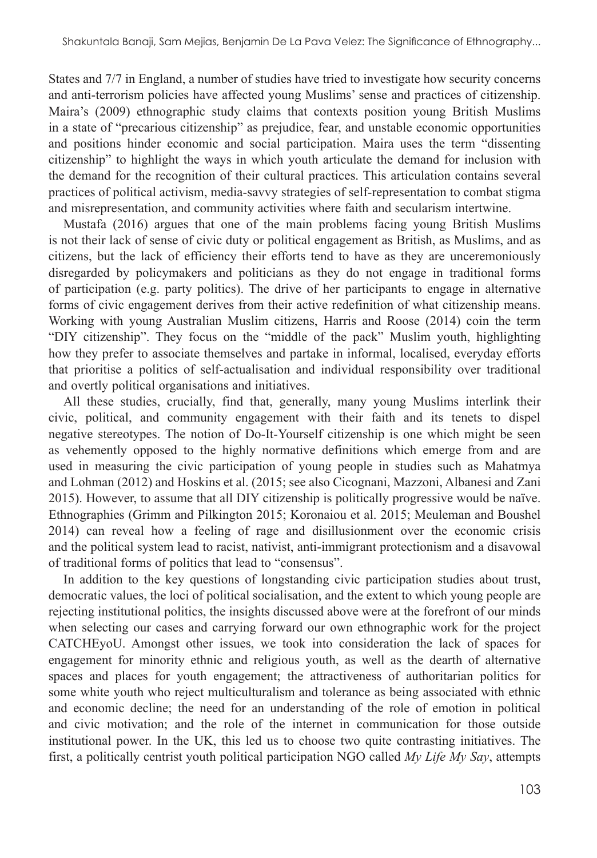States and 7/7 in England, a number of studies have tried to investigate how security concerns and anti-terrorism policies have affected young Muslims' sense and practices of citizenship. Maira's (2009) ethnographic study claims that contexts position young British Muslims in a state of "precarious citizenship" as prejudice, fear, and unstable economic opportunities and positions hinder economic and social participation. Maira uses the term "dissenting citizenship" to highlight the ways in which youth articulate the demand for inclusion with the demand for the recognition of their cultural practices. This articulation contains several practices of political activism, media-savvy strategies of self-representation to combat stigma and misrepresentation, and community activities where faith and secularism intertwine.

Mustafa (2016) argues that one of the main problems facing young British Muslims is not their lack of sense of civic duty or political engagement as British, as Muslims, and as citizens, but the lack of efficiency their efforts tend to have as they are unceremoniously disregarded by policymakers and politicians as they do not engage in traditional forms of participation (e.g. party politics). The drive of her participants to engage in alternative forms of civic engagement derives from their active redefinition of what citizenship means. Working with young Australian Muslim citizens, Harris and Roose (2014) coin the term "DIY citizenship". They focus on the "middle of the pack" Muslim youth, highlighting how they prefer to associate themselves and partake in informal, localised, everyday efforts that prioritise a politics of self-actualisation and individual responsibility over traditional and overtly political organisations and initiatives.

All these studies, crucially, find that, generally, many young Muslims interlink their civic, political, and community engagement with their faith and its tenets to dispel negative stereotypes. The notion of Do-It-Yourself citizenship is one which might be seen as vehemently opposed to the highly normative definitions which emerge from and are used in measuring the civic participation of young people in studies such as Mahatmya and Lohman (2012) and Hoskins et al. (2015; see also Cicognani, Mazzoni, Albanesi and Zani 2015). However, to assume that all DIY citizenship is politically progressive would be naïve. Ethnographies (Grimm and Pilkington 2015; Koronaiou et al. 2015; Meuleman and Boushel 2014) can reveal how a feeling of rage and disillusionment over the economic crisis and the political system lead to racist, nativist, anti-immigrant protectionism and a disavowal of traditional forms of politics that lead to "consensus".

In addition to the key questions of longstanding civic participation studies about trust, democratic values, the loci of political socialisation, and the extent to which young people are rejecting institutional politics, the insights discussed above were at the forefront of our minds when selecting our cases and carrying forward our own ethnographic work for the project CATCHEyoU. Amongst other issues, we took into consideration the lack of spaces for engagement for minority ethnic and religious youth, as well as the dearth of alternative spaces and places for youth engagement; the attractiveness of authoritarian politics for some white youth who reject multiculturalism and tolerance as being associated with ethnic and economic decline; the need for an understanding of the role of emotion in political and civic motivation; and the role of the internet in communication for those outside institutional power. In the UK, this led us to choose two quite contrasting initiatives. The first, a politically centrist youth political participation NGO called *My Life My Say*, attempts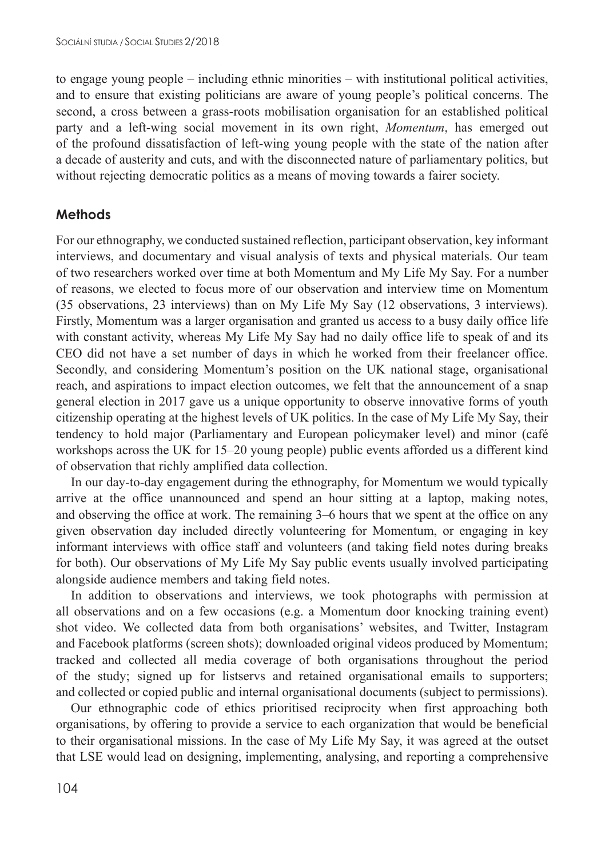to engage young people – including ethnic minorities – with institutional political activities, and to ensure that existing politicians are aware of young people's political concerns. The second, a cross between a grass-roots mobilisation organisation for an established political party and a left-wing social movement in its own right, *Momentum*, has emerged out of the profound dissatisfaction of left-wing young people with the state of the nation after a decade of austerity and cuts, and with the disconnected nature of parliamentary politics, but without rejecting democratic politics as a means of moving towards a fairer society.

### **Methods**

For our ethnography, we conducted sustained reflection, participant observation, key informant interviews, and documentary and visual analysis of texts and physical materials. Our team of two researchers worked over time at both Momentum and My Life My Say. For a number of reasons, we elected to focus more of our observation and interview time on Momentum (35 observations, 23 interviews) than on My Life My Say (12 observations, 3 interviews). Firstly, Momentum was a larger organisation and granted us access to a busy daily office life with constant activity, whereas My Life My Say had no daily office life to speak of and its CEO did not have a set number of days in which he worked from their freelancer office. Secondly, and considering Momentum's position on the UK national stage, organisational reach, and aspirations to impact election outcomes, we felt that the announcement of a snap general election in 2017 gave us a unique opportunity to observe innovative forms of youth citizenship operating at the highest levels of UK politics. In the case of My Life My Say, their tendency to hold major (Parliamentary and European policymaker level) and minor (café workshops across the UK for 15–20 young people) public events afforded us a different kind of observation that richly amplified data collection.

In our day-to-day engagement during the ethnography, for Momentum we would typically arrive at the office unannounced and spend an hour sitting at a laptop, making notes, and observing the office at work. The remaining 3–6 hours that we spent at the office on any given observation day included directly volunteering for Momentum, or engaging in key informant interviews with office staff and volunteers (and taking field notes during breaks for both). Our observations of My Life My Say public events usually involved participating alongside audience members and taking field notes.

In addition to observations and interviews, we took photographs with permission at all observations and on a few occasions (e.g. a Momentum door knocking training event) shot video. We collected data from both organisations' websites, and Twitter, Instagram and Facebook platforms (screen shots); downloaded original videos produced by Momentum; tracked and collected all media coverage of both organisations throughout the period of the study; signed up for listservs and retained organisational emails to supporters; and collected or copied public and internal organisational documents (subject to permissions).

Our ethnographic code of ethics prioritised reciprocity when first approaching both organisations, by offering to provide a service to each organization that would be beneficial to their organisational missions. In the case of My Life My Say, it was agreed at the outset that LSE would lead on designing, implementing, analysing, and reporting a comprehensive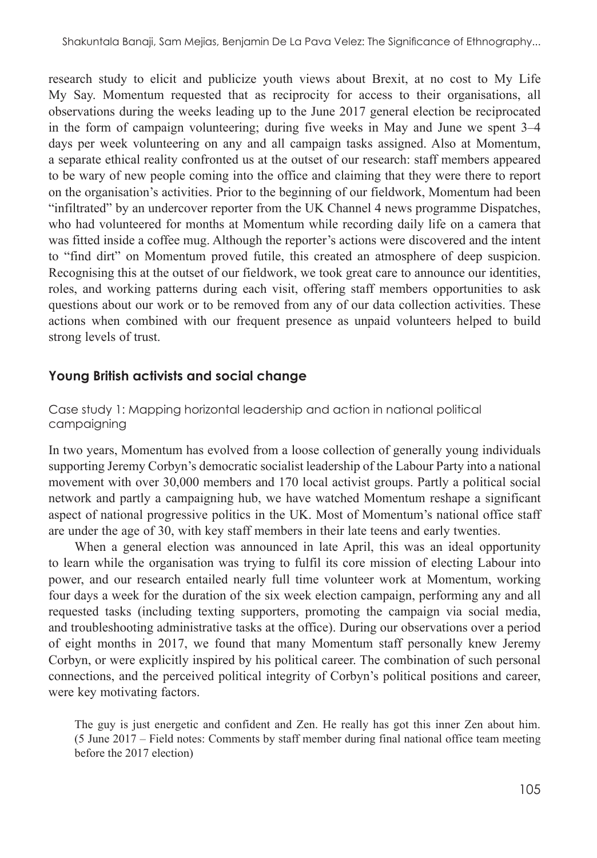research study to elicit and publicize youth views about Brexit, at no cost to My Life My Say. Momentum requested that as reciprocity for access to their organisations, all observations during the weeks leading up to the June 2017 general election be reciprocated in the form of campaign volunteering; during five weeks in May and June we spent 3–4 days per week volunteering on any and all campaign tasks assigned. Also at Momentum, a separate ethical reality confronted us at the outset of our research: staff members appeared to be wary of new people coming into the office and claiming that they were there to report on the organisation's activities. Prior to the beginning of our fieldwork, Momentum had been "infiltrated" by an undercover reporter from the UK Channel 4 news programme Dispatches, who had volunteered for months at Momentum while recording daily life on a camera that was fitted inside a coffee mug. Although the reporter's actions were discovered and the intent to "find dirt" on Momentum proved futile, this created an atmosphere of deep suspicion. Recognising this at the outset of our fieldwork, we took great care to announce our identities, roles, and working patterns during each visit, offering staff members opportunities to ask questions about our work or to be removed from any of our data collection activities. These actions when combined with our frequent presence as unpaid volunteers helped to build strong levels of trust.

### **Young British activists and social change**

#### Case study 1: Mapping horizontal leadership and action in national political campaigning

In two years, Momentum has evolved from a loose collection of generally young individuals supporting Jeremy Corbyn's democratic socialist leadership of the Labour Party into a national movement with over 30,000 members and 170 local activist groups. Partly a political social network and partly a campaigning hub, we have watched Momentum reshape a significant aspect of national progressive politics in the UK. Most of Momentum's national office staff are under the age of 30, with key staff members in their late teens and early twenties.

When a general election was announced in late April, this was an ideal opportunity to learn while the organisation was trying to fulfil its core mission of electing Labour into power, and our research entailed nearly full time volunteer work at Momentum, working four days a week for the duration of the six week election campaign, performing any and all requested tasks (including texting supporters, promoting the campaign via social media, and troubleshooting administrative tasks at the office). During our observations over a period of eight months in 2017, we found that many Momentum staff personally knew Jeremy Corbyn, or were explicitly inspired by his political career. The combination of such personal connections, and the perceived political integrity of Corbyn's political positions and career, were key motivating factors.

The guy is just energetic and confident and Zen. He really has got this inner Zen about him. (5 June 2017 – Field notes: Comments by staff member during final national office team meeting before the 2017 election)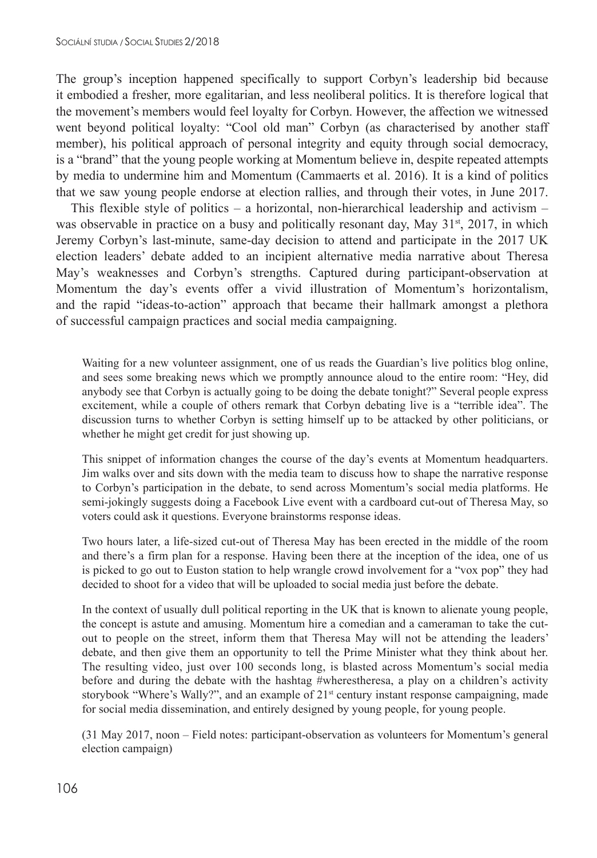The group's inception happened specifically to support Corbyn's leadership bid because it embodied a fresher, more egalitarian, and less neoliberal politics. It is therefore logical that the movement's members would feel loyalty for Corbyn. However, the affection we witnessed went beyond political loyalty: "Cool old man" Corbyn (as characterised by another staff member), his political approach of personal integrity and equity through social democracy, is a "brand" that the young people working at Momentum believe in, despite repeated attempts by media to undermine him and Momentum (Cammaerts et al. 2016). It is a kind of politics that we saw young people endorse at election rallies, and through their votes, in June 2017.

This flexible style of politics – a horizontal, non-hierarchical leadership and activism – was observable in practice on a busy and politically resonant day, May  $31^{st}$ , 2017, in which Jeremy Corbyn's last-minute, same-day decision to attend and participate in the 2017 UK election leaders' debate added to an incipient alternative media narrative about Theresa May's weaknesses and Corbyn's strengths. Captured during participant-observation at Momentum the day's events offer a vivid illustration of Momentum's horizontalism, and the rapid "ideas-to-action" approach that became their hallmark amongst a plethora of successful campaign practices and social media campaigning.

Waiting for a new volunteer assignment, one of us reads the Guardian's live politics blog online, and sees some breaking news which we promptly announce aloud to the entire room: "Hey, did anybody see that Corbyn is actually going to be doing the debate tonight?" Several people express excitement, while a couple of others remark that Corbyn debating live is a "terrible idea". The discussion turns to whether Corbyn is setting himself up to be attacked by other politicians, or whether he might get credit for just showing up.

This snippet of information changes the course of the day's events at Momentum headquarters. Jim walks over and sits down with the media team to discuss how to shape the narrative response to Corbyn's participation in the debate, to send across Momentum's social media platforms. He semi-jokingly suggests doing a Facebook Live event with a cardboard cut-out of Theresa May, so voters could ask it questions. Everyone brainstorms response ideas.

Two hours later, a life-sized cut-out of Theresa May has been erected in the middle of the room and there's a firm plan for a response. Having been there at the inception of the idea, one of us is picked to go out to Euston station to help wrangle crowd involvement for a "vox pop" they had decided to shoot for a video that will be uploaded to social media just before the debate.

In the context of usually dull political reporting in the UK that is known to alienate young people, the concept is astute and amusing. Momentum hire a comedian and a cameraman to take the cutout to people on the street, inform them that Theresa May will not be attending the leaders' debate, and then give them an opportunity to tell the Prime Minister what they think about her. The resulting video, just over 100 seconds long, is blasted across Momentum's social media before and during the debate with the hashtag #wherestheresa, a play on a children's activity storybook "Where's Wally?", and an example of 21<sup>st</sup> century instant response campaigning, made for social media dissemination, and entirely designed by young people, for young people.

(31 May 2017, noon – Field notes: participant-observation as volunteers for Momentum's general election campaign)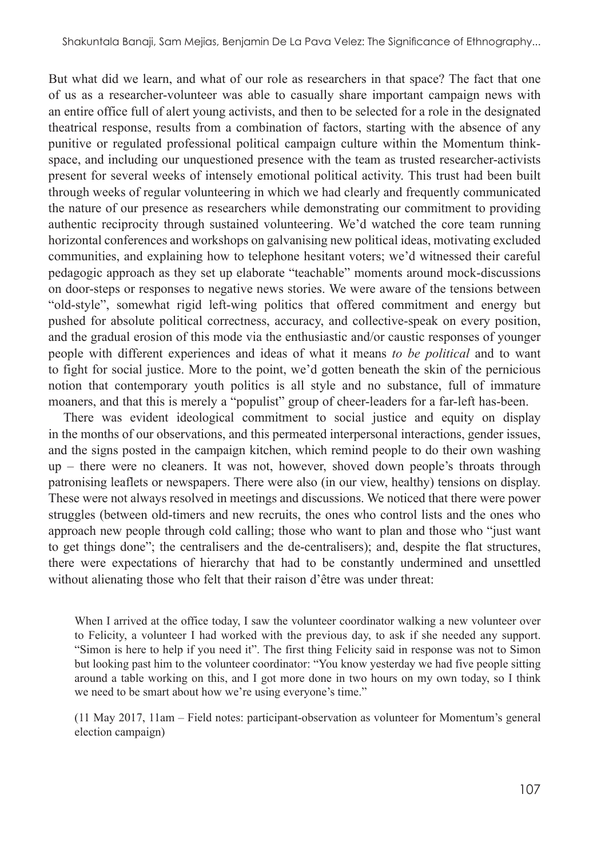But what did we learn, and what of our role as researchers in that space? The fact that one of us as a researcher-volunteer was able to casually share important campaign news with an entire office full of alert young activists, and then to be selected for a role in the designated theatrical response, results from a combination of factors, starting with the absence of any punitive or regulated professional political campaign culture within the Momentum thinkspace, and including our unquestioned presence with the team as trusted researcher-activists present for several weeks of intensely emotional political activity. This trust had been built through weeks of regular volunteering in which we had clearly and frequently communicated the nature of our presence as researchers while demonstrating our commitment to providing authentic reciprocity through sustained volunteering. We'd watched the core team running horizontal conferences and workshops on galvanising new political ideas, motivating excluded communities, and explaining how to telephone hesitant voters; we'd witnessed their careful pedagogic approach as they set up elaborate "teachable" moments around mock-discussions on door-steps or responses to negative news stories. We were aware of the tensions between "old-style", somewhat rigid left-wing politics that offered commitment and energy but pushed for absolute political correctness, accuracy, and collective-speak on every position, and the gradual erosion of this mode via the enthusiastic and/or caustic responses of younger people with different experiences and ideas of what it means *to be political* and to want to fight for social justice. More to the point, we'd gotten beneath the skin of the pernicious notion that contemporary youth politics is all style and no substance, full of immature moaners, and that this is merely a "populist" group of cheer-leaders for a far-left has-been.

There was evident ideological commitment to social justice and equity on display in the months of our observations, and this permeated interpersonal interactions, gender issues, and the signs posted in the campaign kitchen, which remind people to do their own washing up – there were no cleaners. It was not, however, shoved down people's throats through patronising leaflets or newspapers. There were also (in our view, healthy) tensions on display. These were not always resolved in meetings and discussions. We noticed that there were power struggles (between old-timers and new recruits, the ones who control lists and the ones who approach new people through cold calling; those who want to plan and those who "just want to get things done"; the centralisers and the de-centralisers); and, despite the flat structures, there were expectations of hierarchy that had to be constantly undermined and unsettled without alienating those who felt that their raison d'être was under threat:

When I arrived at the office today, I saw the volunteer coordinator walking a new volunteer over to Felicity, a volunteer I had worked with the previous day, to ask if she needed any support. "Simon is here to help if you need it". The first thing Felicity said in response was not to Simon but looking past him to the volunteer coordinator: "You know yesterday we had five people sitting around a table working on this, and I got more done in two hours on my own today, so I think we need to be smart about how we're using everyone's time."

(11 May 2017, 11am – Field notes: participant-observation as volunteer for Momentum's general election campaign)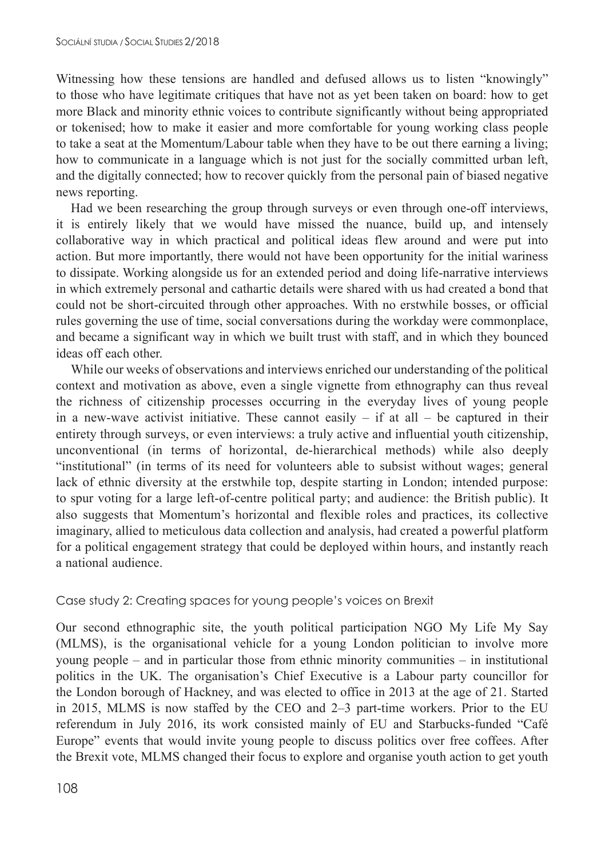Witnessing how these tensions are handled and defused allows us to listen "knowingly" to those who have legitimate critiques that have not as yet been taken on board: how to get more Black and minority ethnic voices to contribute significantly without being appropriated or tokenised; how to make it easier and more comfortable for young working class people to take a seat at the Momentum/Labour table when they have to be out there earning a living; how to communicate in a language which is not just for the socially committed urban left, and the digitally connected; how to recover quickly from the personal pain of biased negative news reporting.

Had we been researching the group through surveys or even through one-off interviews, it is entirely likely that we would have missed the nuance, build up, and intensely collaborative way in which practical and political ideas flew around and were put into action. But more importantly, there would not have been opportunity for the initial wariness to dissipate. Working alongside us for an extended period and doing life-narrative interviews in which extremely personal and cathartic details were shared with us had created a bond that could not be short-circuited through other approaches. With no erstwhile bosses, or official rules governing the use of time, social conversations during the workday were commonplace, and became a significant way in which we built trust with staff, and in which they bounced ideas off each other.

While our weeks of observations and interviews enriched our understanding of the political context and motivation as above, even a single vignette from ethnography can thus reveal the richness of citizenship processes occurring in the everyday lives of young people in a new-wave activist initiative. These cannot easily  $-$  if at all  $-$  be captured in their entirety through surveys, or even interviews: a truly active and influential youth citizenship, unconventional (in terms of horizontal, de-hierarchical methods) while also deeply "institutional" (in terms of its need for volunteers able to subsist without wages; general lack of ethnic diversity at the erstwhile top, despite starting in London; intended purpose: to spur voting for a large left-of-centre political party; and audience: the British public). It also suggests that Momentum's horizontal and flexible roles and practices, its collective imaginary, allied to meticulous data collection and analysis, had created a powerful platform for a political engagement strategy that could be deployed within hours, and instantly reach a national audience.

#### Case study 2: Creating spaces for young people's voices on Brexit

Our second ethnographic site, the youth political participation NGO My Life My Say (MLMS), is the organisational vehicle for a young London politician to involve more young people – and in particular those from ethnic minority communities – in institutional politics in the UK. The organisation's Chief Executive is a Labour party councillor for the London borough of Hackney, and was elected to office in 2013 at the age of 21. Started in 2015, MLMS is now staffed by the CEO and 2–3 part-time workers. Prior to the EU referendum in July 2016, its work consisted mainly of EU and Starbucks-funded "Café Europe" events that would invite young people to discuss politics over free coffees. After the Brexit vote, MLMS changed their focus to explore and organise youth action to get youth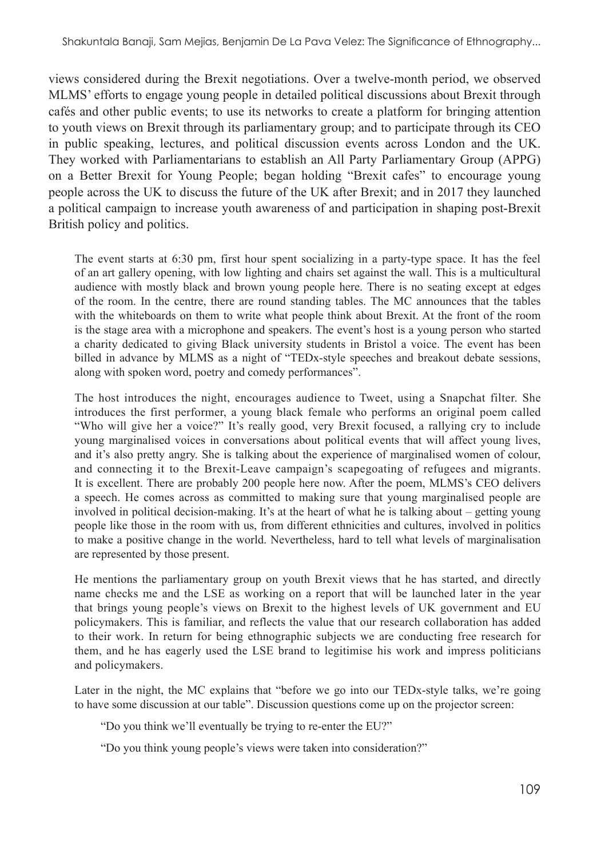views considered during the Brexit negotiations. Over a twelve-month period, we observed MLMS' efforts to engage young people in detailed political discussions about Brexit through cafés and other public events; to use its networks to create a platform for bringing attention to youth views on Brexit through its parliamentary group; and to participate through its CEO in public speaking, lectures, and political discussion events across London and the UK. They worked with Parliamentarians to establish an All Party Parliamentary Group (APPG) on a Better Brexit for Young People; began holding "Brexit cafes" to encourage young people across the UK to discuss the future of the UK after Brexit; and in 2017 they launched a political campaign to increase youth awareness of and participation in shaping post-Brexit British policy and politics.

The event starts at 6:30 pm, first hour spent socializing in a party-type space. It has the feel of an art gallery opening, with low lighting and chairs set against the wall. This is a multicultural audience with mostly black and brown young people here. There is no seating except at edges of the room. In the centre, there are round standing tables. The MC announces that the tables with the whiteboards on them to write what people think about Brexit. At the front of the room is the stage area with a microphone and speakers. The event's host is a young person who started a charity dedicated to giving Black university students in Bristol a voice. The event has been billed in advance by MLMS as a night of "TEDx-style speeches and breakout debate sessions, along with spoken word, poetry and comedy performances".

The host introduces the night, encourages audience to Tweet, using a Snapchat filter. She introduces the first performer, a young black female who performs an original poem called "Who will give her a voice?" It's really good, very Brexit focused, a rallying cry to include young marginalised voices in conversations about political events that will affect young lives, and it's also pretty angry. She is talking about the experience of marginalised women of colour, and connecting it to the Brexit-Leave campaign's scapegoating of refugees and migrants. It is excellent. There are probably 200 people here now. After the poem, MLMS's CEO delivers a speech. He comes across as committed to making sure that young marginalised people are involved in political decision-making. It's at the heart of what he is talking about – getting young people like those in the room with us, from different ethnicities and cultures, involved in politics to make a positive change in the world. Nevertheless, hard to tell what levels of marginalisation are represented by those present.

He mentions the parliamentary group on youth Brexit views that he has started, and directly name checks me and the LSE as working on a report that will be launched later in the year that brings young people's views on Brexit to the highest levels of UK government and EU policymakers. This is familiar, and reflects the value that our research collaboration has added to their work. In return for being ethnographic subjects we are conducting free research for them, and he has eagerly used the LSE brand to legitimise his work and impress politicians and policymakers.

Later in the night, the MC explains that "before we go into our TEDx-style talks, we're going to have some discussion at our table". Discussion questions come up on the projector screen:

"Do you think we'll eventually be trying to re-enter the EU?"

"Do you think young people's views were taken into consideration?"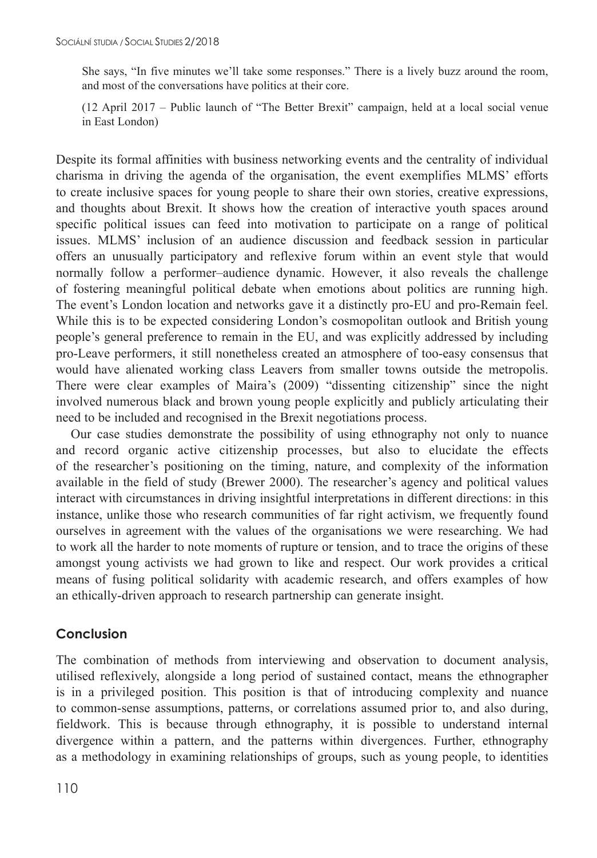She says, "In five minutes we'll take some responses." There is a lively buzz around the room, and most of the conversations have politics at their core.

(12 April 2017 – Public launch of "The Better Brexit" campaign, held at a local social venue in East London)

Despite its formal affinities with business networking events and the centrality of individual charisma in driving the agenda of the organisation, the event exemplifies MLMS' efforts to create inclusive spaces for young people to share their own stories, creative expressions, and thoughts about Brexit. It shows how the creation of interactive youth spaces around specific political issues can feed into motivation to participate on a range of political issues. MLMS' inclusion of an audience discussion and feedback session in particular offers an unusually participatory and reflexive forum within an event style that would normally follow a performer–audience dynamic. However, it also reveals the challenge of fostering meaningful political debate when emotions about politics are running high. The event's London location and networks gave it a distinctly pro-EU and pro-Remain feel. While this is to be expected considering London's cosmopolitan outlook and British young people's general preference to remain in the EU, and was explicitly addressed by including pro-Leave performers, it still nonetheless created an atmosphere of too-easy consensus that would have alienated working class Leavers from smaller towns outside the metropolis. There were clear examples of Maira's (2009) "dissenting citizenship" since the night involved numerous black and brown young people explicitly and publicly articulating their need to be included and recognised in the Brexit negotiations process.

Our case studies demonstrate the possibility of using ethnography not only to nuance and record organic active citizenship processes, but also to elucidate the effects of the researcher's positioning on the timing, nature, and complexity of the information available in the field of study (Brewer 2000). The researcher's agency and political values interact with circumstances in driving insightful interpretations in different directions: in this instance, unlike those who research communities of far right activism, we frequently found ourselves in agreement with the values of the organisations we were researching. We had to work all the harder to note moments of rupture or tension, and to trace the origins of these amongst young activists we had grown to like and respect. Our work provides a critical means of fusing political solidarity with academic research, and offers examples of how an ethically-driven approach to research partnership can generate insight.

# **Conclusion**

The combination of methods from interviewing and observation to document analysis, utilised reflexively, alongside a long period of sustained contact, means the ethnographer is in a privileged position. This position is that of introducing complexity and nuance to common-sense assumptions, patterns, or correlations assumed prior to, and also during, fieldwork. This is because through ethnography, it is possible to understand internal divergence within a pattern, and the patterns within divergences. Further, ethnography as a methodology in examining relationships of groups, such as young people, to identities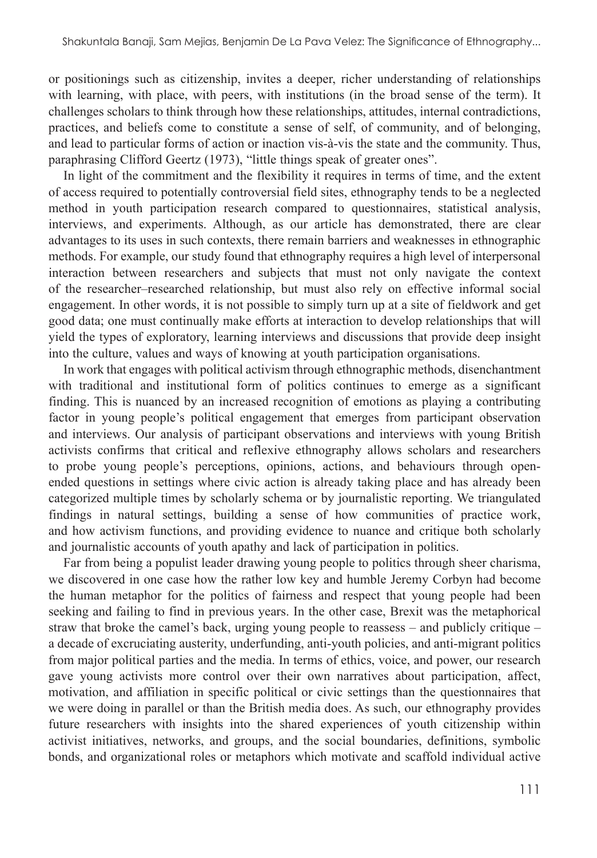or positionings such as citizenship, invites a deeper, richer understanding of relationships with learning, with place, with peers, with institutions (in the broad sense of the term). It challenges scholars to think through how these relationships, attitudes, internal contradictions, practices, and beliefs come to constitute a sense of self, of community, and of belonging, and lead to particular forms of action or inaction vis-à-vis the state and the community. Thus, paraphrasing Clifford Geertz (1973), "little things speak of greater ones".

In light of the commitment and the flexibility it requires in terms of time, and the extent of access required to potentially controversial field sites, ethnography tends to be a neglected method in youth participation research compared to questionnaires, statistical analysis, interviews, and experiments. Although, as our article has demonstrated, there are clear advantages to its uses in such contexts, there remain barriers and weaknesses in ethnographic methods. For example, our study found that ethnography requires a high level of interpersonal interaction between researchers and subjects that must not only navigate the context of the researcher–researched relationship, but must also rely on effective informal social engagement. In other words, it is not possible to simply turn up at a site of fieldwork and get good data; one must continually make efforts at interaction to develop relationships that will yield the types of exploratory, learning interviews and discussions that provide deep insight into the culture, values and ways of knowing at youth participation organisations.

In work that engages with political activism through ethnographic methods, disenchantment with traditional and institutional form of politics continues to emerge as a significant finding. This is nuanced by an increased recognition of emotions as playing a contributing factor in young people's political engagement that emerges from participant observation and interviews. Our analysis of participant observations and interviews with young British activists confirms that critical and reflexive ethnography allows scholars and researchers to probe young people's perceptions, opinions, actions, and behaviours through openended questions in settings where civic action is already taking place and has already been categorized multiple times by scholarly schema or by journalistic reporting. We triangulated findings in natural settings, building a sense of how communities of practice work, and how activism functions, and providing evidence to nuance and critique both scholarly and journalistic accounts of youth apathy and lack of participation in politics.

Far from being a populist leader drawing young people to politics through sheer charisma, we discovered in one case how the rather low key and humble Jeremy Corbyn had become the human metaphor for the politics of fairness and respect that young people had been seeking and failing to find in previous years. In the other case, Brexit was the metaphorical straw that broke the camel's back, urging young people to reassess – and publicly critique – a decade of excruciating austerity, underfunding, anti-youth policies, and anti-migrant politics from major political parties and the media. In terms of ethics, voice, and power, our research gave young activists more control over their own narratives about participation, affect, motivation, and affiliation in specific political or civic settings than the questionnaires that we were doing in parallel or than the British media does. As such, our ethnography provides future researchers with insights into the shared experiences of youth citizenship within activist initiatives, networks, and groups, and the social boundaries, definitions, symbolic bonds, and organizational roles or metaphors which motivate and scaffold individual active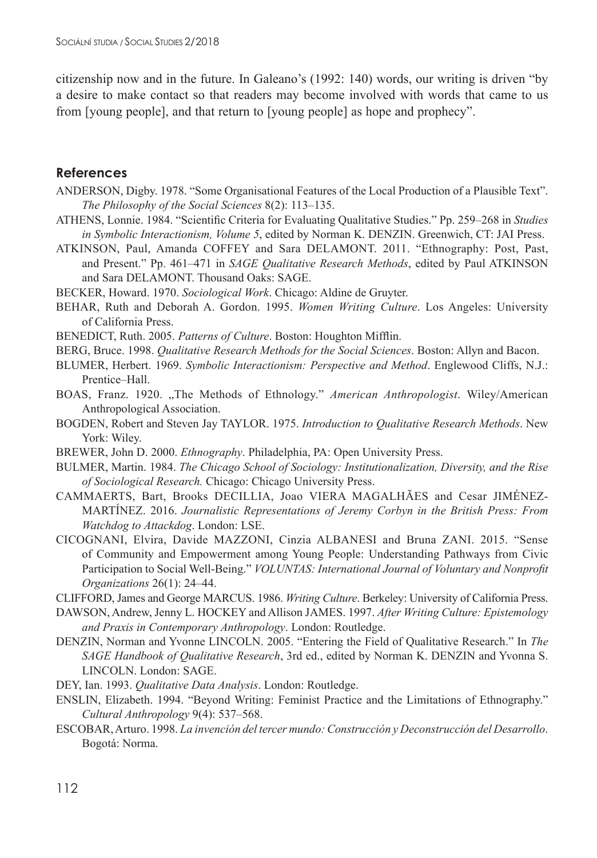citizenship now and in the future. In Galeano's (1992: 140) words, our writing is driven "by a desire to make contact so that readers may become involved with words that came to us from [young people], and that return to [young people] as hope and prophecy".

#### **References**

- ANDERSON, Digby. 1978. "Some Organisational Features of the Local Production of a Plausible Text". *The Philosophy of the Social Sciences* 8(2): 113–135.
- ATHENS, Lonnie. 1984. "Scientific Criteria for Evaluating Qualitative Studies." Pp. 259–268 in *Studies in Symbolic Interactionism, Volume 5*, edited by Norman K. DENZIN. Greenwich, CT: JAI Press.
- ATKINSON, Paul, Amanda COFFEY and Sara DELAMONT. 2011. "Ethnography: Post, Past, and Present." Pp. 461–471 in *SAGE Qualitative Research Methods*, edited by Paul ATKINSON and Sara DELAMONT. Thousand Oaks: SAGE.
- BECKER, Howard. 1970. *Sociological Work*. Chicago: Aldine de Gruyter.
- BEHAR, Ruth and Deborah A. Gordon. 1995. *Women Writing Culture*. Los Angeles: University of California Press.
- BENEDICT, Ruth. 2005. *Patterns of Culture*. Boston: Houghton Mifflin.
- BERG, Bruce. 1998. *Qualitative Research Methods for the Social Sciences*. Boston: Allyn and Bacon.
- BLUMER, Herbert. 1969. *Symbolic Interactionism: Perspective and Method*. Englewood Cliffs, N.J.: Prentice–Hall.
- BOAS, Franz. 1920. "The Methods of Ethnology." American Anthropologist. Wiley/American Anthropological Association.
- BOGDEN, Robert and Steven Jay TAYLOR. 1975. *Introduction to Qualitative Research Methods*. New York: Wiley.
- BREWER, John D. 2000. *Ethnography*. Philadelphia, PA: Open University Press.
- BULMER, Martin. 1984. *The Chicago School of Sociology: Institutionalization, Diversity, and the Rise of Sociological Research.* Chicago: Chicago University Press.
- CAMMAERTS, Bart, Brooks DECILLIA, Joao VIERA MAGALHÃES and Cesar JIMÉNEZ-MARTÍNEZ. 2016. *Journalistic Representations of Jeremy Corbyn in the British Press: From Watchdog to Attackdog*. London: LSE.
- CICOGNANI, Elvira, Davide MAZZONI, Cinzia ALBANESI and Bruna ZANI. 2015. "Sense of Community and Empowerment among Young People: Understanding Pathways from Civic Participation to Social Well-Being." *VOLUNTAS: International Journal of Voluntary and Nonprofit Organizations* 26(1): 24–44.
- CLIFFORD, James and George MARCUS. 1986. *Writing Culture*. Berkeley: University of California Press.
- DAWSON, Andrew, Jenny L. HOCKEY and Allison JAMES. 1997. *After Writing Culture: Epistemology and Praxis in Contemporary Anthropology*. London: Routledge.
- DENZIN, Norman and Yvonne LINCOLN. 2005. "Entering the Field of Qualitative Research." In *The SAGE Handbook of Qualitative Research*, 3rd ed., edited by Norman K. DENZIN and Yvonna S. LINCOLN. London: SAGE.
- DEY, Ian. 1993. *Qualitative Data Analysis*. London: Routledge.
- ENSLIN, Elizabeth. 1994. "Beyond Writing: Feminist Practice and the Limitations of Ethnography." *Cultural Anthropology* 9(4): 537–568.
- ESCOBAR, Arturo. 1998. *La invención del tercer mundo: Construcción y Deconstrucción del Desarrollo*. Bogotá: Norma.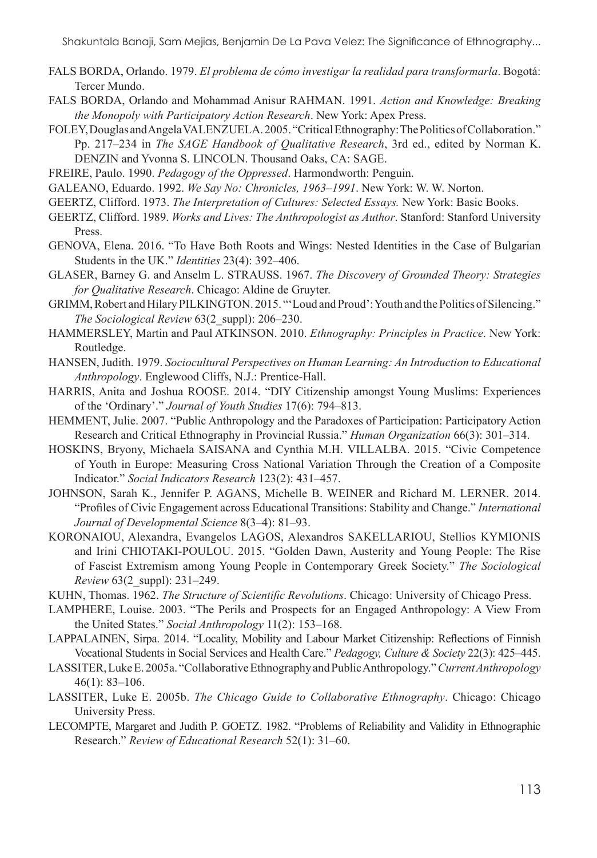- FALS BORDA, Orlando. 1979. *El problema de cómo investigar la realidad para transformarla*. Bogotá: Tercer Mundo.
- FALS BORDA, Orlando and Mohammad Anisur RAHMAN. 1991. *Action and Knowledge: Breaking the Monopoly with Participatory Action Research*. New York: Apex Press.
- FOLEY, Douglas andAngela VALENZUELA. 2005. "Critical Ethnography: The Politics ofCollaboration." Pp. 217–234 in *The SAGE Handbook of Qualitative Research*, 3rd ed., edited by Norman K. DENZIN and Yvonna S. LINCOLN. Thousand Oaks, CA: SAGE.
- FREIRE, Paulo. 1990. *Pedagogy of the Oppressed*. Harmondworth: Penguin.
- GALEANO, Eduardo. 1992. *We Say No: Chronicles, 1963–1991*. New York: W. W. Norton.
- GEERTZ, Clifford. 1973. *The Interpretation of Cultures: Selected Essays.* New York: Basic Books.
- GEERTZ, Clifford. 1989. *Works and Lives: The Anthropologist as Author*. Stanford: Stanford University Press.
- GENOVA, Elena. 2016. "To Have Both Roots and Wings: Nested Identities in the Case of Bulgarian Students in the UK." *Identities* 23(4): 392–406.
- GLASER, Barney G. and Anselm L. STRAUSS. 1967. *The Discovery of Grounded Theory: Strategies for Qualitative Research*. Chicago: Aldine de Gruyter.
- GRIMM, Robert and Hilary PILKINGTON. 2015. "'Loud and Proud': Youth and the Politics of Silencing." *The Sociological Review* 63(2\_suppl): 206–230.
- HAMMERSLEY, Martin and Paul ATKINSON. 2010. *Ethnography: Principles in Practice*. New York: Routledge.
- HANSEN, Judith. 1979. *Sociocultural Perspectives on Human Learning: An Introduction to Educational Anthropology*. Englewood Cliffs, N.J.: Prentice-Hall.
- HARRIS, Anita and Joshua ROOSE. 2014. "DIY Citizenship amongst Young Muslims: Experiences of the 'Ordinary'." *Journal of Youth Studies* 17(6): 794–813.
- HEMMENT, Julie. 2007. "Public Anthropology and the Paradoxes of Participation: Participatory Action Research and Critical Ethnography in Provincial Russia." *Human Organization* 66(3): 301–314.
- HOSKINS, Bryony, Michaela SAISANA and Cynthia M.H. VILLALBA. 2015. "Civic Competence of Youth in Europe: Measuring Cross National Variation Through the Creation of a Composite Indicator." *Social Indicators Research* 123(2): 431–457.
- JOHNSON, Sarah K., Jennifer P. AGANS, Michelle B. WEINER and Richard M. LERNER. 2014. "Profiles of Civic Engagement across Educational Transitions: Stability and Change." *International Journal of Developmental Science* 8(3–4): 81–93.
- KORONAIOU, Alexandra, Evangelos LAGOS, Alexandros SAKELLARIOU, Stellios KYMIONIS and Irini CHIOTAKI-POULOU. 2015. "Golden Dawn, Austerity and Young People: The Rise of Fascist Extremism among Young People in Contemporary Greek Society." *The Sociological Review* 63(2\_suppl): 231–249.
- KUHN, Thomas. 1962. *The Structure of Scientific Revolutions*. Chicago: University of Chicago Press.
- LAMPHERE, Louise. 2003. "The Perils and Prospects for an Engaged Anthropology: A View From the United States." *Social Anthropology* 11(2): 153–168.
- LAPPALAINEN, Sirpa. 2014. "Locality, Mobility and Labour Market Citizenship: Reflections of Finnish Vocational Students in Social Services and Health Care." *Pedagogy, Culture & Society* 22(3): 425–445.
- LASSITER, Luke E. 2005a. "Collaborative Ethnography and Public Anthropology." *Current Anthropology* 46(1): 83–106.
- LASSITER, Luke E. 2005b. *The Chicago Guide to Collaborative Ethnography*. Chicago: Chicago University Press.
- LECOMPTE, Margaret and Judith P. GOETZ. 1982. "Problems of Reliability and Validity in Ethnographic Research." *Review of Educational Research* 52(1): 31–60.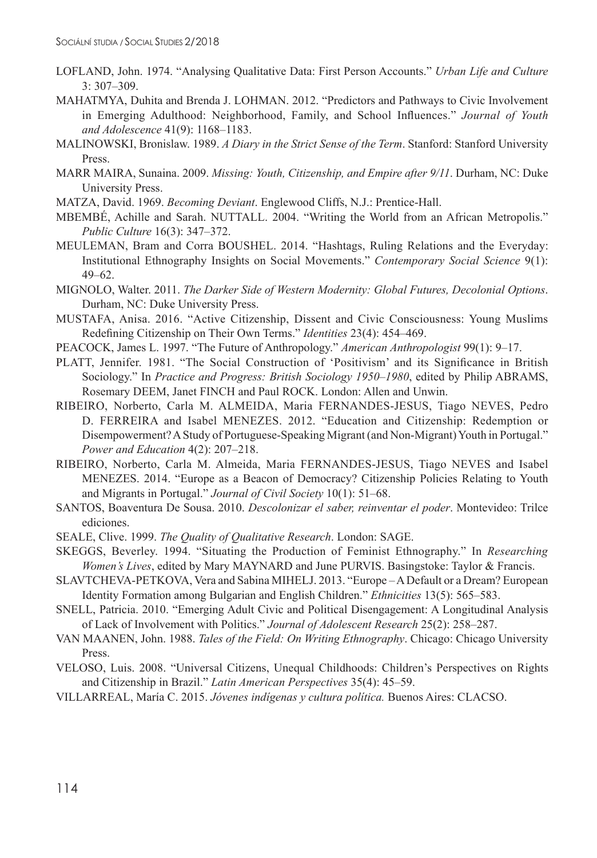- LOFLAND, John. 1974. "Analysing Qualitative Data: First Person Accounts." *Urban Life and Culture* 3: 307–309.
- MAHATMYA, Duhita and Brenda J. LOHMAN. 2012. "Predictors and Pathways to Civic Involvement in Emerging Adulthood: Neighborhood, Family, and School Influences." *Journal of Youth and Adolescence* 41(9): 1168–1183.
- MALINOWSKI, Bronislaw. 1989. *A Diary in the Strict Sense of the Term*. Stanford: Stanford University Press.
- MARR MAIRA, Sunaina. 2009. *Missing: Youth, Citizenship, and Empire after 9/11*. Durham, NC: Duke University Press.
- MATZA, David. 1969. *Becoming Deviant*. Englewood Cliffs, N.J.: Prentice-Hall.
- MBEMBÉ, Achille and Sarah. NUTTALL. 2004. "Writing the World from an African Metropolis." *Public Culture* 16(3): 347–372.
- MEULEMAN, Bram and Corra BOUSHEL. 2014. "Hashtags, Ruling Relations and the Everyday: Institutional Ethnography Insights on Social Movements." *Contemporary Social Science* 9(1): 49–62.
- MIGNOLO, Walter. 2011. *The Darker Side of Western Modernity: Global Futures, Decolonial Options*. Durham, NC: Duke University Press.
- MUSTAFA, Anisa. 2016. "Active Citizenship, Dissent and Civic Consciousness: Young Muslims Redefining Citizenship on Their Own Terms." *Identities* 23(4): 454–469.
- PEACOCK, James L. 1997. "The Future of Anthropology." *American Anthropologist* 99(1): 9–17.
- PLATT, Jennifer. 1981. "The Social Construction of 'Positivism' and its Significance in British Sociology." In *Practice and Progress: British Sociology 1950–1980*, edited by Philip ABRAMS, Rosemary DEEM, Janet FINCH and Paul ROCK. London: Allen and Unwin.
- RIBEIRO, Norberto, Carla M. ALMEIDA, Maria FERNANDES-JESUS, Tiago NEVES, Pedro D. FERREIRA and Isabel MENEZES. 2012. "Education and Citizenship: Redemption or Disempowerment? AStudy of Portuguese-Speaking Migrant (and Non-Migrant) Youth in Portugal." *Power and Education* 4(2): 207–218.
- RIBEIRO, Norberto, Carla M. Almeida, Maria FERNANDES-JESUS, Tiago NEVES and Isabel MENEZES. 2014. "Europe as a Beacon of Democracy? Citizenship Policies Relating to Youth and Migrants in Portugal." *Journal of Civil Society* 10(1): 51–68.
- SANTOS, Boaventura De Sousa. 2010. *Descolonizar el saber, reinventar el poder*. Montevideo: Trilce ediciones.
- SEALE, Clive. 1999. *The Quality of Qualitative Research*. London: SAGE.
- SKEGGS, Beverley. 1994. "Situating the Production of Feminist Ethnography." In *Researching Women's Lives*, edited by Mary MAYNARD and June PURVIS. Basingstoke: Taylor & Francis.
- SLAVTCHEVA-PETKOVA, Vera and Sabina MIHELJ. 2013. "Europe ADefault or a Dream? European Identity Formation among Bulgarian and English Children." *Ethnicities* 13(5): 565–583.
- SNELL, Patricia. 2010. "Emerging Adult Civic and Political Disengagement: A Longitudinal Analysis of Lack of Involvement with Politics." *Journal of Adolescent Research* 25(2): 258–287.
- VAN MAANEN, John. 1988. *Tales of the Field: On Writing Ethnography*. Chicago: Chicago University Press.
- VELOSO, Luis. 2008. "Universal Citizens, Unequal Childhoods: Children's Perspectives on Rights and Citizenship in Brazil." *Latin American Perspectives* 35(4): 45–59.
- VILLARREAL, María C. 2015. *Jóvenes indígenas y cultura política.* Buenos Aires: CLACSO.